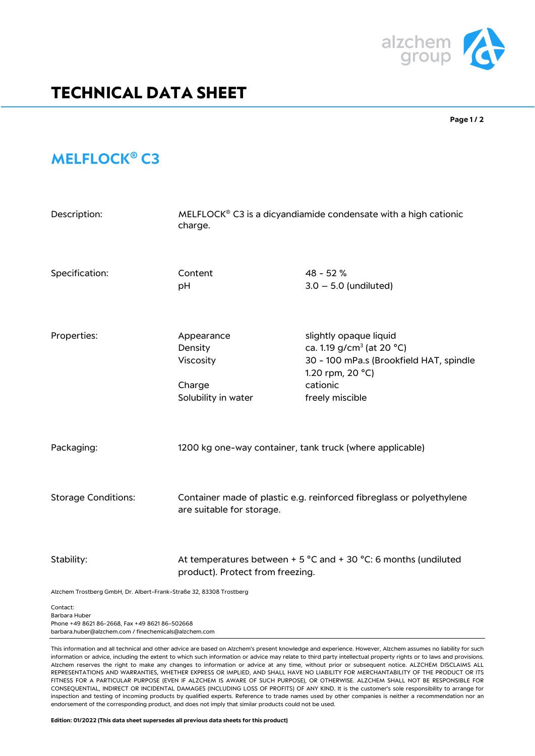

## **TECHNICAL DATA SHEET**

**Page 1 / 2** 

## **MELFLOCK® C3**

| Description:                                                        | MELFLOCK <sup>®</sup> C3 is a dicyandiamide condensate with a high cationic<br>charge.                                  |                                                                                                                                                               |
|---------------------------------------------------------------------|-------------------------------------------------------------------------------------------------------------------------|---------------------------------------------------------------------------------------------------------------------------------------------------------------|
| Specification:                                                      | Content<br>pH                                                                                                           | 48 - 52 %<br>$3.0 - 5.0$ (undiluted)                                                                                                                          |
| Properties:                                                         | Appearance<br>Density<br>Viscosity<br>Charge<br>Solubility in water                                                     | slightly opaque liquid<br>ca. 1.19 g/cm <sup>3</sup> (at 20 °C)<br>30 - 100 mPa.s (Brookfield HAT, spindle<br>1.20 rpm, 20 °C)<br>cationic<br>freely miscible |
| Packaging:                                                          | 1200 kg one-way container, tank truck (where applicable)                                                                |                                                                                                                                                               |
| <b>Storage Conditions:</b>                                          | Container made of plastic e.g. reinforced fibreglass or polyethylene<br>are suitable for storage.                       |                                                                                                                                                               |
| Stability:                                                          | At temperatures between + 5 $^{\circ}$ C and + 30 $^{\circ}$ C: 6 months (undiluted<br>product). Protect from freezing. |                                                                                                                                                               |
| Alzchem Trostberg GmbH, Dr. Albert-Frank-Straße 32, 83308 Trostberg |                                                                                                                         |                                                                                                                                                               |
| Contact:                                                            |                                                                                                                         |                                                                                                                                                               |

Barbara Huber Phone +49 8621 86-2668, Fax +49 8621 86-502668 barbara.huber@alzchem.com / finechemicals@alzchem.com

This information and all technical and other advice are based on Alzchem's present knowledge and experience. However, Alzchem assumes no liability for such information or advice, including the extent to which such information or advice may relate to third party intellectual property rights or to laws and provisions. Alzchem reserves the right to make any changes to information or advice at any time, without prior or subsequent notice. ALZCHEM DISCLAIMS ALL REPRESENTATIONS AND WARRANTIES, WHETHER EXPRESS OR IMPLIED, AND SHALL HAVE NO LIABILITY FOR MERCHANTABILITY OF THE PRODUCT OR ITS FITNESS FOR A PARTICULAR PURPOSE (EVEN IF ALZCHEM IS AWARE OF SUCH PURPOSE), OR OTHERWISE. ALZCHEM SHALL NOT BE RESPONSIBLE FOR CONSEQUENTIAL, INDIRECT OR INCIDENTAL DAMAGES (INCLUDING LOSS OF PROFITS) OF ANY KIND. It is the customer's sole responsibility to arrange for inspection and testing of incoming products by qualified experts. Reference to trade names used by other companies is neither a recommendation nor an endorsement of the corresponding product, and does not imply that similar products could not be used.